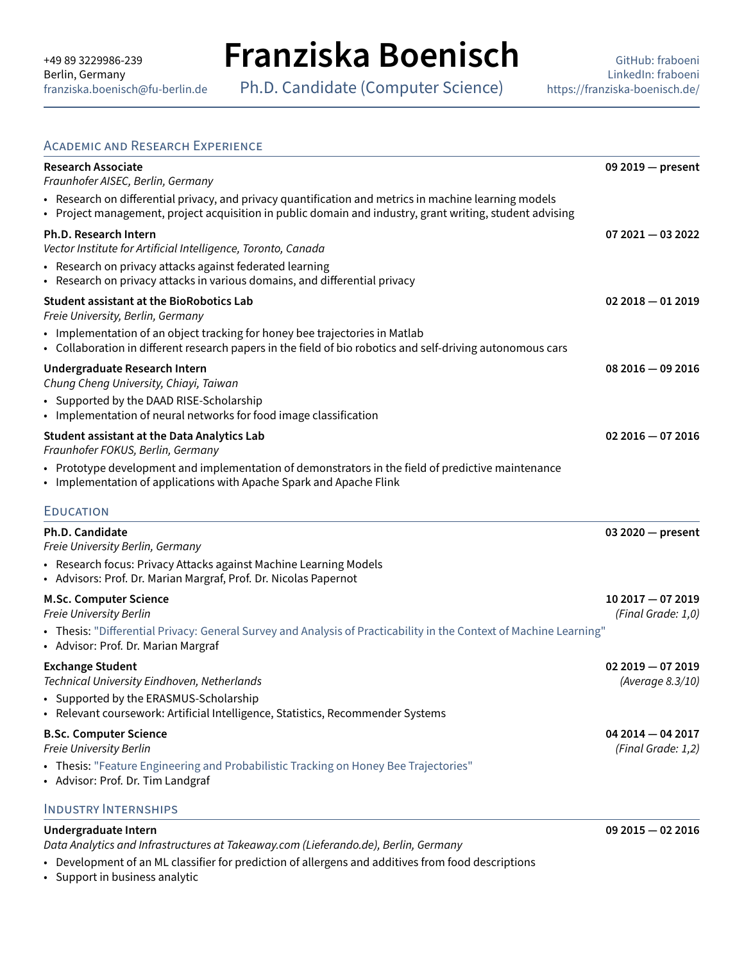Ph.D. Candidate (Computer Science)

#### ACADEMIC AND RESEARCH EXPERIENCE

| <b>Research Associate</b><br>Fraunhofer AISEC, Berlin, Germany                                                                                                                                                        | 09 2019 - present                       |
|-----------------------------------------------------------------------------------------------------------------------------------------------------------------------------------------------------------------------|-----------------------------------------|
| • Research on differential privacy, and privacy quantification and metrics in machine learning models<br>• Project management, project acquisition in public domain and industry, grant writing, student advising     |                                         |
| Ph.D. Research Intern<br>Vector Institute for Artificial Intelligence, Toronto, Canada                                                                                                                                | $072021 - 032022$                       |
| • Research on privacy attacks against federated learning<br>• Research on privacy attacks in various domains, and differential privacy                                                                                |                                         |
| <b>Student assistant at the BioRobotics Lab</b><br>Freie University, Berlin, Germany                                                                                                                                  | $022018 - 012019$                       |
| • Implementation of an object tracking for honey bee trajectories in Matlab<br>• Collaboration in different research papers in the field of bio robotics and self-driving autonomous cars                             |                                         |
| Undergraduate Research Intern<br>Chung Cheng University, Chiayi, Taiwan<br>• Supported by the DAAD RISE-Scholarship                                                                                                   | $082016 - 092016$                       |
| • Implementation of neural networks for food image classification                                                                                                                                                     |                                         |
| <b>Student assistant at the Data Analytics Lab</b><br>Fraunhofer FOKUS, Berlin, Germany                                                                                                                               | $022016 - 072016$                       |
| • Prototype development and implementation of demonstrators in the field of predictive maintenance<br>• Implementation of applications with Apache Spark and Apache Flink                                             |                                         |
| <b>EDUCATION</b>                                                                                                                                                                                                      |                                         |
| <b>Ph.D. Candidate</b><br>Freie University Berlin, Germany                                                                                                                                                            | $032020 - present$                      |
| • Research focus: Privacy Attacks against Machine Learning Models<br>• Advisors: Prof. Dr. Marian Margraf, Prof. Dr. Nicolas Papernot                                                                                 |                                         |
| <b>M.Sc. Computer Science</b><br>Freie University Berlin<br>• Thesis: "Differential Privacy: General Survey and Analysis of Practicability in the Context of Machine Learning"<br>• Advisor: Prof. Dr. Marian Margraf | $102017 - 072019$<br>(Final Grade: 1,0) |
| <b>Exchange Student</b><br>Technical University Eindhoven, Netherlands                                                                                                                                                | $022019 - 072019$<br>(Average 8.3/10)   |
| • Supported by the ERASMUS-Scholarship<br>• Relevant coursework: Artificial Intelligence, Statistics, Recommender Systems                                                                                             |                                         |
| <b>B.Sc. Computer Science</b><br>Freie University Berlin                                                                                                                                                              | $042014 - 042017$<br>(Final Grade: 1,2) |
| • Thesis: "Feature Engineering and Probabilistic Tracking on Honey Bee Trajectories"<br>• Advisor: Prof. Dr. Tim Landgraf                                                                                             |                                         |
| <b>INDUSTRY INTERNSHIPS</b>                                                                                                                                                                                           |                                         |

### **Undergraduate Intern 09 2015 — 02 2016**

Data Analytics and Infrastructures at Takeaway.com (Lieferando.de), Berlin, Germany

• Development of an ML classifier for prediction of allergens and additives from food descriptions

• Support in business analytic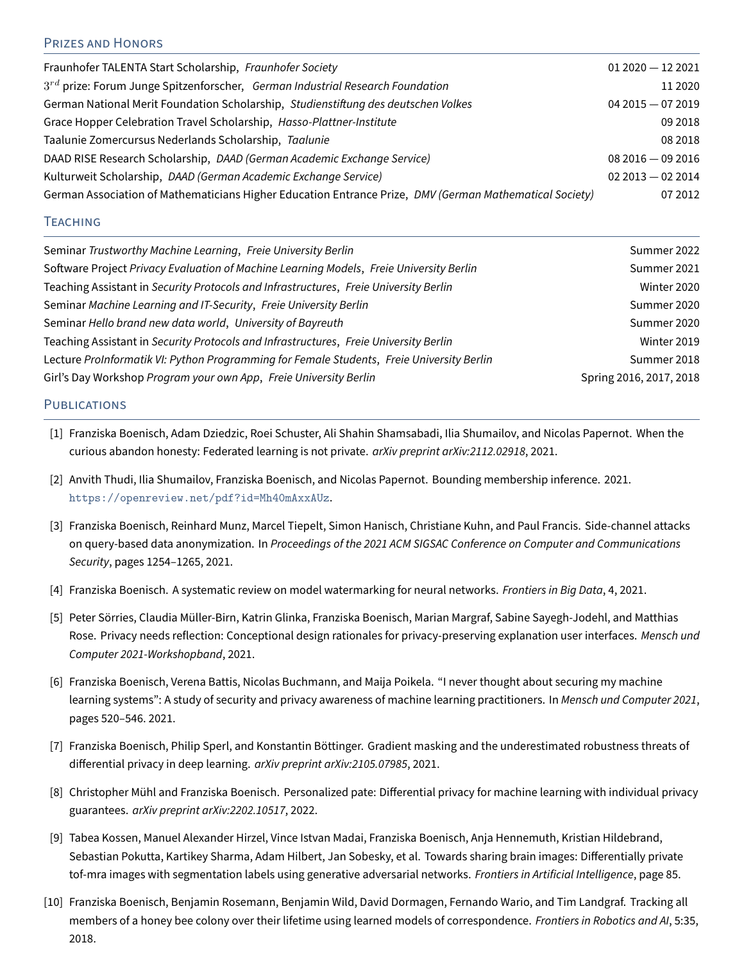## PRIZES AND HONORS

| Fraunhofer TALENTA Start Scholarship, Fraunhofer Society                                                | $012020 - 122021$ |
|---------------------------------------------------------------------------------------------------------|-------------------|
| $3^{rd}$ prize: Forum Junge Spitzenforscher, German Industrial Research Foundation                      | 11 20 20          |
| German National Merit Foundation Scholarship, Studienstiftung des deutschen Volkes                      | $042015 - 072019$ |
| Grace Hopper Celebration Travel Scholarship, Hasso-Plattner-Institute                                   | 09 2018           |
| Taalunie Zomercursus Nederlands Scholarship, Taalunie                                                   | 08 2018           |
| DAAD RISE Research Scholarship, DAAD (German Academic Exchange Service)                                 | $082016 - 092016$ |
| Kulturweit Scholarship, DAAD (German Academic Exchange Service)                                         | $022013 - 022014$ |
| German Association of Mathematicians Higher Education Entrance Prize, DMV (German Mathematical Society) | 07 2012           |

### **TEACHING**

| Seminar Trustworthy Machine Learning, Freie University Berlin                             | Summer 2022             |
|-------------------------------------------------------------------------------------------|-------------------------|
| Software Project Privacy Evaluation of Machine Learning Models, Freie University Berlin   | Summer 2021             |
| Teaching Assistant in Security Protocols and Infrastructures, Freie University Berlin     | Winter 2020             |
| Seminar Machine Learning and IT-Security, Freie University Berlin                         | Summer 2020             |
| Seminar Hello brand new data world, University of Bayreuth                                | Summer 2020             |
| Teaching Assistant in Security Protocols and Infrastructures, Freie University Berlin     | Winter 2019             |
| Lecture ProInformatik VI: Python Programming for Female Students, Freie University Berlin | Summer 2018             |
| Girl's Day Workshop Program your own App, Freie University Berlin                         | Spring 2016, 2017, 2018 |
|                                                                                           |                         |

#### PUBLICATIONS

- [1] Franziska Boenisch, Adam Dziedzic, Roei Schuster, Ali Shahin Shamsabadi, Ilia Shumailov, and Nicolas Papernot. When the curious abandon honesty: Federated learning is not private. *arXiv preprint arXiv:2112.02918*, 2021.
- [2] Anvith Thudi, Ilia Shumailov, Franziska Boenisch, and Nicolas Papernot. Bounding membership inference. 2021. <https://openreview.net/pdf?id=Mh40mAxxAUz>.
- [3] Franziska Boenisch, Reinhard Munz, Marcel Tiepelt, Simon Hanisch, Christiane Kuhn, and Paul Francis. Side-channel attacks on query-based data anonymization. In Proceedings of the 2021 ACM SIGSAC Conference on Computer and Communications Security, pages 1254–1265, 2021.
- [4] Franziska Boenisch. A systematic review on model watermarking for neural networks. Frontiers in Big Data, 4, 2021.
- [5] Peter Sörries, Claudia Müller-Birn, Katrin Glinka, Franziska Boenisch, Marian Margraf, Sabine Sayegh-Jodehl, and Matthias Rose. Privacy needs reflection: Conceptional design rationales for privacy-preserving explanation user interfaces. Mensch und Computer 2021-Workshopband, 2021.
- [6] Franziska Boenisch, Verena Battis, Nicolas Buchmann, and Maija Poikela. "I never thought about securing my machine learning systems": A study of security and privacy awareness of machine learning practitioners. In Mensch und Computer 2021, pages 520–546. 2021.
- [7] Franziska Boenisch, Philip Sperl, and Konstantin Böttinger. Gradient masking and the underestimated robustness threats of differential privacy in deep learning. *arXiv preprint arXiv:2105.07985*, 2021.
- [8] Christopher Mühl and Franziska Boenisch. Personalized pate: Differential privacy for machine learning with individual privacy guarantees. arXiv preprint arXiv:2202.10517, 2022.
- [9] Tabea Kossen, Manuel Alexander Hirzel, Vince Istvan Madai, Franziska Boenisch, Anja Hennemuth, Kristian Hildebrand, Sebastian Pokutta, Kartikey Sharma, Adam Hilbert, Jan Sobesky, et al. Towards sharing brain images: Differentially private tof-mra images with segmentation labels using generative adversarial networks. Frontiers in Artificial Intelligence, page 85.
- [10] Franziska Boenisch, Benjamin Rosemann, Benjamin Wild, David Dormagen, Fernando Wario, and Tim Landgraf. Tracking all members of a honey bee colony over their lifetime using learned models of correspondence. Frontiers in Robotics and AI, 5:35, 2018.